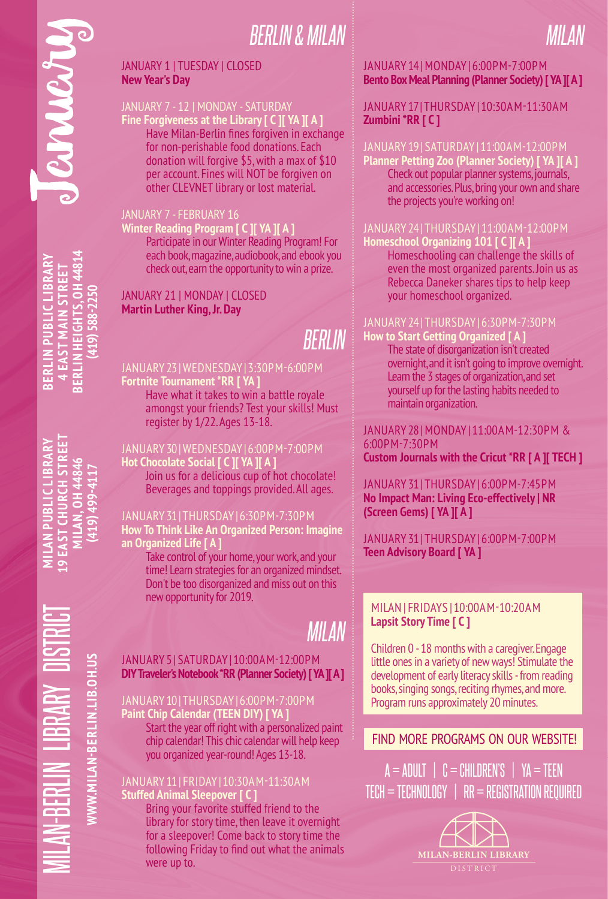# *BERLIN & MILAN*

### JANUARY 1 | TUESDAY | CLOSED **New Year's Day**

### JANUARY 7 - 12 | MONDAY - SATURDAY

**Fine Forgiveness at the Library [ C ][ YA ][ A ]** Have Milan-Berlin fines forgiven in exchange for non-perishable food donations. Each donation will forgive \$5, with a max of \$10 per account. Fines will NOT be forgiven on other CLEVNET library or lost material.

### JANUARY 7 - FEBRUARY 16

### **Winter Reading Program [ C ][ YA ][ A ]** Participate in our Winter Reading Program! For each book, magazine, audiobook, and ebook you check out, earn the opportunity to win a prize.

### JANUARY 21 | MONDAY | CLOSED **Martin Luther King, Jr. Day**

# *BERLIN*

**Fortnite Tournament \*RR [ YA ]** Have what it takes to win a battle royale amongst your friends? Test your skills! Must register by 1/22. Ages 13-18.

**Hot Chocolate Social [ C ][ YA ][ A ]** Join us for a delicious cup of hot chocolate! Beverages and toppings provided. All ages.

### JANUARY 31 | THURSDAY | 6:30PM-7:30PM

**How To Think Like An Organized Person: Imagine an Organized Life [ A ]**

Take control of your home, your work, and your time! Learn strategies for an organized mindset. Don't be too disorganized and miss out on this new opportunity for 2019.

# *MILAN*

### JANUARY 5 | SATURDAY | 10:00AM-12:00PM **DIY Traveler's Notebook \*RR (Planner Society) [ YA ][ A ]**

**Paint Chip Calendar (TEEN DIY) [ YA ]**  Start the year off right with a personalized paint chip calendar! This chic calendar will help keep you organized year-round! Ages 13-18.

### JANUARY 11 | FRIDAY | 10:30AM-11:30AM

**Stuffed Animal Sleepover [ C ]** Bring your favorite stuffed friend to the library for story time, then leave it overnight for a sleepover! Come back to story time the following Friday to find out what the animals were up to.

### JANUARY 14 | MONDAY | 6:00PM-7:00PM **Bento Box Meal Planning (Planner Society) [ YA ][ A ]**

*MILAN*

### JANUARY 17 | THURSDAY | 10:30AM-11:30AM **Zumbini \*RR [ C ]**

**Planner Petting Zoo (Planner Society) [ YA ][ A ]** Check out popular planner systems, journals, and accessories. Plus, bring your own and share the projects you're working on!

**Homeschool Organizing 101 [ C ][ A ]** Homeschooling can challenge the skills of even the most organized parents. Join us as Rebecca Daneker shares tips to help keep your homeschool organized.

### JANUARY 24 | THURSDAY | 6:30PM-7:30PM

**How to Start Getting Organized [ A ]** The state of disorganization isn't created overnight, and it isn't going to improve overnight. Learn the 3 stages of organization, and set yourself up for the lasting habits needed to maintain organization.

JANUARY 28 | MONDAY | 11:00AM-12:30PM & 6:00PM-7:30PM **Custom Journals with the Cricut \*RR [ A ][ TECH ]**

JANUARY 31 | THURSDAY | 6:00PM-7:45PM **No Impact Man: Living Eco-effectively | NR (Screen Gems) [ YA ][ A ]**

JANUARY 31 | THURSDAY | 6:00PM-7:00PM **Teen Advisory Board [ YA ]**

### MILAN | FRIDAYS | 10:00AM-10:20AM **Lapsit Story Time [ C ]**

Children 0 - 18 months with a caregiver. Engage little ones in a variety of new ways! Stimulate the development of early literacy skills - from reading books, singing songs, reciting rhymes, and more. Program runs approximately 20 minutes.

### FIND MORE PROGRAMS ON OUR WEBSITE!

 $A = ADULT$  |  $C = CHILDREN'S$  |  $YA = TEEN$  $TECH = TECHNOLOGY \mid RR = REGISTRATION REQUIRED$ 



## **BERLIN HEIGHTS, OH 44814 BERLIN PUBLIC LIBRARY BERLIN HEIGHTS, OH 4481 4 EAST MAIN STREET BERLIN PUBLIC LIBRA 4 EAST MAIN STRI (419) 588-2250** 419) 588-225

January

**IS EAST CHURCH STR MILAN PUBLIC LIBR (419) 499-4117**